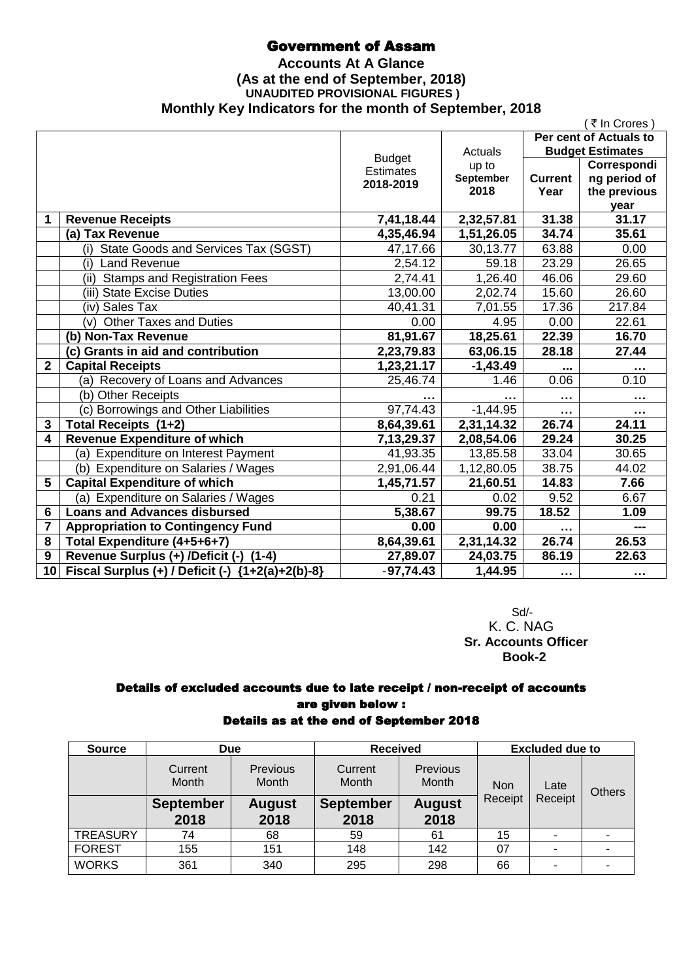# Government of Assam

### **Accounts At A Glance (As at the end of September, 2018) UNAUDITED PROVISIONAL FIGURES ) Monthly Key Indicators for the month of September, 2018**

|                 |                                                  |               |            |                      | (₹In Crores)            |
|-----------------|--------------------------------------------------|---------------|------------|----------------------|-------------------------|
|                 |                                                  |               |            |                      | Per cent of Actuals to  |
|                 |                                                  | <b>Budget</b> | Actuals    |                      | <b>Budget Estimates</b> |
|                 |                                                  | Estimates     | up to      |                      | Correspondi             |
|                 |                                                  | 2018-2019     | September  | <b>Current</b>       | ng period of            |
|                 |                                                  |               | 2018       | Year                 | the previous            |
|                 |                                                  |               |            |                      | year                    |
| 1               | <b>Revenue Receipts</b>                          | 7,41,18.44    | 2,32,57.81 | 31.38                | 31.17                   |
|                 | (a) Tax Revenue                                  | 4,35,46.94    | 1,51,26.05 | 34.74                | 35.61                   |
|                 | (i) State Goods and Services Tax (SGST)          | 47,17.66      | 30,13.77   | 63.88                | 0.00                    |
|                 | <b>Land Revenue</b><br>(i)                       | 2,54.12       | 59.18      | 23.29                | 26.65                   |
|                 | (ii) Stamps and Registration Fees                | 2,74.41       | 1,26.40    | 46.06                | 29.60                   |
|                 | (iii) State Excise Duties                        | 13,00.00      | 2,02.74    | 15.60                | 26.60                   |
|                 | (iv) Sales Tax                                   | 40,41.31      | 7,01.55    | 17.36                | 217.84                  |
|                 | <b>Other Taxes and Duties</b><br>(v)             | 0.00          | 4.95       | 0.00                 | 22.61                   |
|                 | (b) Non-Tax Revenue                              | 81,91.67      | 18,25.61   | 22.39                | 16.70                   |
|                 | (c) Grants in aid and contribution               | 2,23,79.83    | 63,06.15   | 28.18                | 27.44                   |
| $\overline{2}$  | <b>Capital Receipts</b>                          | 1,23,21.17    | $-1,43.49$ |                      | $\cdots$                |
|                 | (a) Recovery of Loans and Advances               | 25,46.74      | 1.46       | 0.06                 | 0.10                    |
|                 | (b) Other Receipts                               |               |            | $\sim$ $\sim$ $\sim$ | $\sim$ $\sim$ $\sim$    |
|                 | (c) Borrowings and Other Liabilities             | 97,74.43      | $-1,44.95$ |                      |                         |
| $\overline{3}$  | Total Receipts (1+2)                             | 8,64,39.61    | 2,31,14.32 | 26.74                | 24.11                   |
| 4               | <b>Revenue Expenditure of which</b>              | 7,13,29.37    | 2,08,54.06 | 29.24                | 30.25                   |
|                 | (a) Expenditure on Interest Payment              | 41,93.35      | 13,85.58   | 33.04                | 30.65                   |
|                 | (b) Expenditure on Salaries / Wages              | 2,91,06.44    | 1,12,80.05 | 38.75                | 44.02                   |
| 5               | <b>Capital Expenditure of which</b>              | 1,45,71.57    | 21,60.51   | 14.83                | 7.66                    |
|                 | (a) Expenditure on Salaries / Wages              | 0.21          | 0.02       | 9.52                 | 6.67                    |
| 6               | <b>Loans and Advances disbursed</b>              | 5,38.67       | 99.75      | 18.52                | 1.09                    |
| 7               | <b>Appropriation to Contingency Fund</b>         | 0.00          | 0.00       | $\sim$               |                         |
| 8               | Total Expenditure (4+5+6+7)                      | 8,64,39.61    | 2,31,14.32 | 26.74                | 26.53                   |
| 9               | Revenue Surplus (+) /Deficit (-) (1-4)           | 27,89.07      | 24,03.75   | 86.19                | 22.63                   |
| 10 <sup>1</sup> | Fiscal Surplus (+) / Deficit (-) {1+2(a)+2(b)-8} | $-97,74.43$   | 1,44.95    | $\sim 0.00$          | $\sim$ $\sim$ $\sim$    |

Sd/- K. C. NAG  **Sr. Accounts Officer Book-2**

### Details of excluded accounts due to late receipt / non-receipt of accounts are given below : Details as at the end of September 2018

| <b>Source</b>   | <b>Due</b>               |                          | <b>Received</b>          |                          | <b>Excluded due to</b> |                |  |  |  |  |  |      |        |
|-----------------|--------------------------|--------------------------|--------------------------|--------------------------|------------------------|----------------|--|--|--|--|--|------|--------|
|                 | Current<br>Month         | Previous<br><b>Month</b> | Current<br>Month         | Previous<br><b>Month</b> | <b>Non</b>             |                |  |  |  |  |  | Late | Others |
|                 | <b>September</b><br>2018 | <b>August</b><br>2018    | <b>September</b><br>2018 | <b>August</b><br>2018    | Receipt                | Receipt        |  |  |  |  |  |      |        |
| <b>TREASURY</b> | 74                       | 68                       | 59                       | 61                       | 15                     | $\blacksquare$ |  |  |  |  |  |      |        |
| <b>FOREST</b>   | 155                      | 151                      | 148                      | 142                      | 07                     | $\blacksquare$ |  |  |  |  |  |      |        |
| <b>WORKS</b>    | 361                      | 340                      | 295                      | 298                      | 66                     | ٠              |  |  |  |  |  |      |        |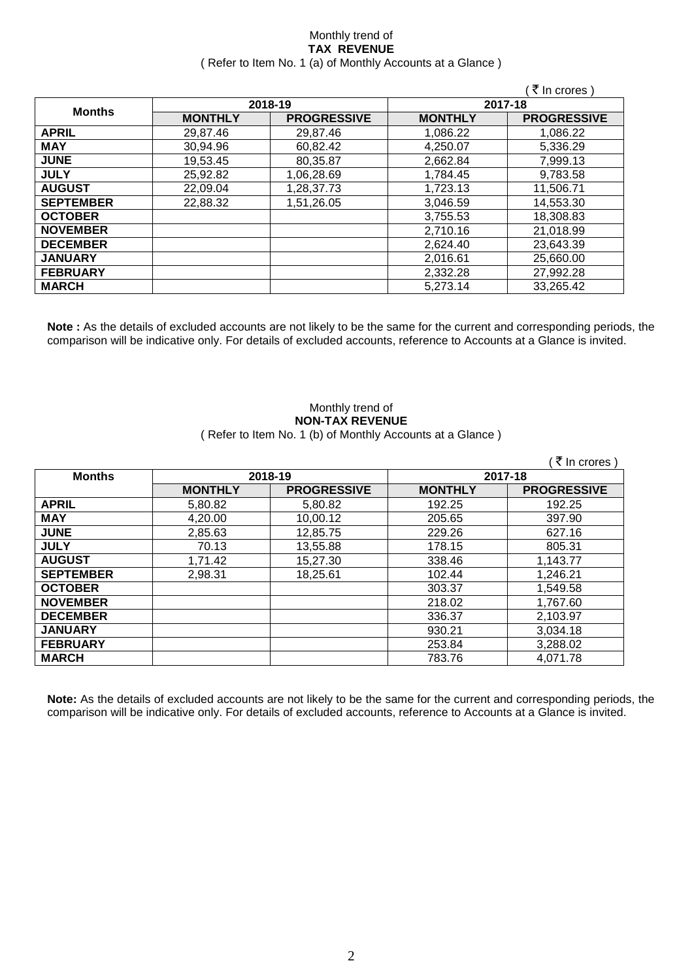### Monthly trend of **TAX REVENUE** ( Refer to Item No. 1 (a) of Monthly Accounts at a Glance )

|                  |                |                    |                | ₹ In crores)       |  |
|------------------|----------------|--------------------|----------------|--------------------|--|
| <b>Months</b>    | 2018-19        |                    | 2017-18        |                    |  |
|                  | <b>MONTHLY</b> | <b>PROGRESSIVE</b> | <b>MONTHLY</b> | <b>PROGRESSIVE</b> |  |
| <b>APRIL</b>     | 29,87.46       | 29,87.46           | 1,086.22       | 1.086.22           |  |
| <b>MAY</b>       | 30,94.96       | 60,82.42           | 4,250.07       | 5,336.29           |  |
| <b>JUNE</b>      | 19,53.45       | 80,35.87           | 2,662.84       | 7,999.13           |  |
| <b>JULY</b>      | 25,92.82       | 1,06,28.69         | 1,784.45       | 9,783.58           |  |
| <b>AUGUST</b>    | 22,09.04       | 1,28,37.73         | 1,723.13       | 11,506.71          |  |
| <b>SEPTEMBER</b> | 22,88.32       | 1,51,26.05         | 3,046.59       | 14,553.30          |  |
| <b>OCTOBER</b>   |                |                    | 3,755.53       | 18,308.83          |  |
| <b>NOVEMBER</b>  |                |                    | 2,710.16       | 21,018.99          |  |
| <b>DECEMBER</b>  |                |                    | 2,624.40       | 23,643.39          |  |
| <b>JANUARY</b>   |                |                    | 2,016.61       | 25,660.00          |  |
| <b>FEBRUARY</b>  |                |                    | 2,332.28       | 27,992.28          |  |
| <b>MARCH</b>     |                |                    | 5,273.14       | 33,265.42          |  |

**Note :** As the details of excluded accounts are not likely to be the same for the current and corresponding periods, the comparison will be indicative only. For details of excluded accounts, reference to Accounts at a Glance is invited.

#### Monthly trend of **NON-TAX REVENUE** ( Refer to Item No. 1 (b) of Monthly Accounts at a Glance )

|                  |                |                    |                | (₹ In crores)      |
|------------------|----------------|--------------------|----------------|--------------------|
| <b>Months</b>    | 2018-19        |                    | 2017-18        |                    |
|                  | <b>MONTHLY</b> | <b>PROGRESSIVE</b> | <b>MONTHLY</b> | <b>PROGRESSIVE</b> |
| <b>APRIL</b>     | 5,80.82        | 5,80.82            | 192.25         | 192.25             |
| <b>MAY</b>       | 4,20.00        | 10,00.12           | 205.65         | 397.90             |
| <b>JUNE</b>      | 2,85.63        | 12,85.75           | 229.26         | 627.16             |
| <b>JULY</b>      | 70.13          | 13,55.88           | 178.15         | 805.31             |
| <b>AUGUST</b>    | 1,71.42        | 15,27.30           | 338.46         | 1,143.77           |
| <b>SEPTEMBER</b> | 2,98.31        | 18,25.61           | 102.44         | 1,246.21           |
| <b>OCTOBER</b>   |                |                    | 303.37         | 1,549.58           |
| <b>NOVEMBER</b>  |                |                    | 218.02         | 1,767.60           |
| <b>DECEMBER</b>  |                |                    | 336.37         | 2,103.97           |
| <b>JANUARY</b>   |                |                    | 930.21         | 3,034.18           |
| <b>FEBRUARY</b>  |                |                    | 253.84         | 3,288.02           |
| <b>MARCH</b>     |                |                    | 783.76         | 4.071.78           |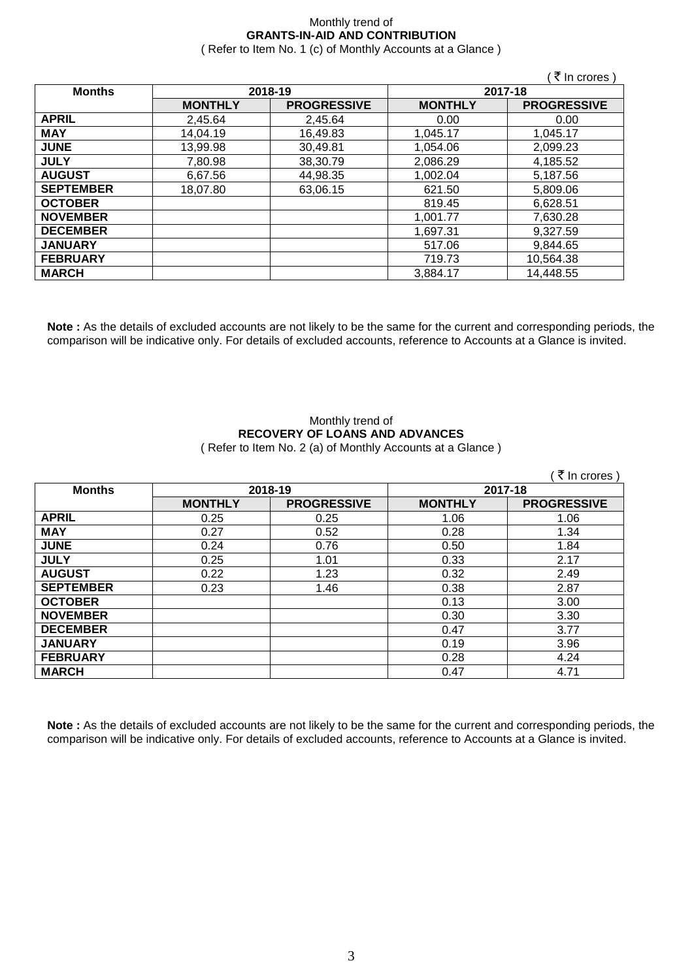### Monthly trend of **GRANTS-IN-AID AND CONTRIBUTION** ( Refer to Item No. 1 (c) of Monthly Accounts at a Glance )

|                  |                |                    |                | ∶ ₹ In crores)     |
|------------------|----------------|--------------------|----------------|--------------------|
| <b>Months</b>    |                | 2018-19            | 2017-18        |                    |
|                  | <b>MONTHLY</b> | <b>PROGRESSIVE</b> | <b>MONTHLY</b> | <b>PROGRESSIVE</b> |
| <b>APRIL</b>     | 2,45.64        | 2,45.64            | 0.00           | 0.00               |
| <b>MAY</b>       | 14,04.19       | 16,49.83           | 1.045.17       | 1,045.17           |
| <b>JUNE</b>      | 13,99.98       | 30,49.81           | 1.054.06       | 2,099.23           |
| <b>JULY</b>      | 7,80.98        | 38,30.79           | 2,086.29       | 4,185.52           |
| <b>AUGUST</b>    | 6,67.56        | 44,98.35           | 1.002.04       | 5,187.56           |
| <b>SEPTEMBER</b> | 18,07.80       | 63,06.15           | 621.50         | 5,809.06           |
| <b>OCTOBER</b>   |                |                    | 819.45         | 6,628.51           |
| <b>NOVEMBER</b>  |                |                    | 1.001.77       | 7,630.28           |
| <b>DECEMBER</b>  |                |                    | 1,697.31       | 9,327.59           |
| <b>JANUARY</b>   |                |                    | 517.06         | 9,844.65           |
| <b>FEBRUARY</b>  |                |                    | 719.73         | 10,564.38          |
| <b>MARCH</b>     |                |                    | 3,884.17       | 14,448.55          |

**Note :** As the details of excluded accounts are not likely to be the same for the current and corresponding periods, the comparison will be indicative only. For details of excluded accounts, reference to Accounts at a Glance is invited.

### Monthly trend of **RECOVERY OF LOANS AND ADVANCES** ( Refer to Item No. 2 (a) of Monthly Accounts at a Glance )

|                  |                |                    |                | ़₹ In crores )     |
|------------------|----------------|--------------------|----------------|--------------------|
| <b>Months</b>    | 2018-19        |                    | 2017-18        |                    |
|                  | <b>MONTHLY</b> | <b>PROGRESSIVE</b> | <b>MONTHLY</b> | <b>PROGRESSIVE</b> |
| <b>APRIL</b>     | 0.25           | 0.25               | 1.06           | 1.06               |
| <b>MAY</b>       | 0.27           | 0.52               | 0.28           | 1.34               |
| <b>JUNE</b>      | 0.24           | 0.76               | 0.50           | 1.84               |
| <b>JULY</b>      | 0.25           | 1.01               | 0.33           | 2.17               |
| <b>AUGUST</b>    | 0.22           | 1.23               | 0.32           | 2.49               |
| <b>SEPTEMBER</b> | 0.23           | 1.46               | 0.38           | 2.87               |
| <b>OCTOBER</b>   |                |                    | 0.13           | 3.00               |
| <b>NOVEMBER</b>  |                |                    | 0.30           | 3.30               |
| <b>DECEMBER</b>  |                |                    | 0.47           | 3.77               |
| <b>JANUARY</b>   |                |                    | 0.19           | 3.96               |
| <b>FEBRUARY</b>  |                |                    | 0.28           | 4.24               |
| <b>MARCH</b>     |                |                    | 0.47           | 4.71               |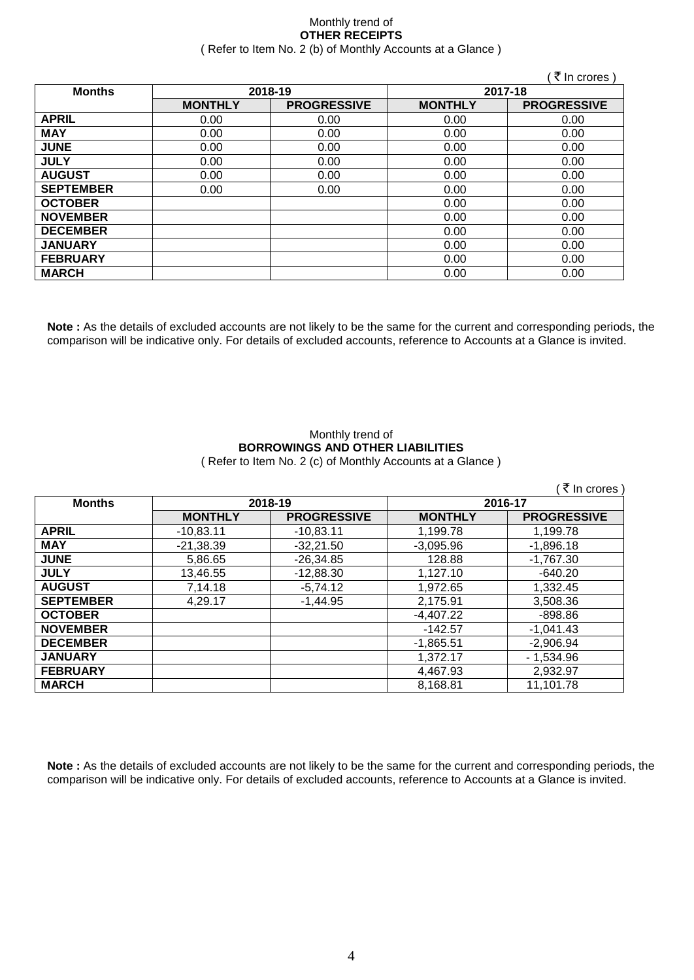### Monthly trend of **OTHER RECEIPTS** ( Refer to Item No. 2 (b) of Monthly Accounts at a Glance )

|                  |                |                    |                | ∶ ₹ In crores)     |
|------------------|----------------|--------------------|----------------|--------------------|
| <b>Months</b>    | 2018-19        |                    | 2017-18        |                    |
|                  | <b>MONTHLY</b> | <b>PROGRESSIVE</b> | <b>MONTHLY</b> | <b>PROGRESSIVE</b> |
| <b>APRIL</b>     | 0.00           | 0.00               | 0.00           | 0.00               |
| <b>MAY</b>       | 0.00           | 0.00               | 0.00           | 0.00               |
| <b>JUNE</b>      | 0.00           | 0.00               | 0.00           | 0.00               |
| <b>JULY</b>      | 0.00           | 0.00               | 0.00           | 0.00               |
| <b>AUGUST</b>    | 0.00           | 0.00               | 0.00           | 0.00               |
| <b>SEPTEMBER</b> | 0.00           | 0.00               | 0.00           | 0.00               |
| <b>OCTOBER</b>   |                |                    | 0.00           | 0.00               |
| <b>NOVEMBER</b>  |                |                    | 0.00           | 0.00               |
| <b>DECEMBER</b>  |                |                    | 0.00           | 0.00               |
| <b>JANUARY</b>   |                |                    | 0.00           | 0.00               |
| <b>FEBRUARY</b>  |                |                    | 0.00           | 0.00               |
| <b>MARCH</b>     |                |                    | 0.00           | 0.00               |

**Note :** As the details of excluded accounts are not likely to be the same for the current and corresponding periods, the comparison will be indicative only. For details of excluded accounts, reference to Accounts at a Glance is invited.

### Monthly trend of **BORROWINGS AND OTHER LIABILITIES** ( Refer to Item No. 2 (c) of Monthly Accounts at a Glance )

| ₹ In crores )    |                |                    |                |                    |  |
|------------------|----------------|--------------------|----------------|--------------------|--|
| <b>Months</b>    | 2018-19        |                    | 2016-17        |                    |  |
|                  | <b>MONTHLY</b> | <b>PROGRESSIVE</b> | <b>MONTHLY</b> | <b>PROGRESSIVE</b> |  |
| <b>APRIL</b>     | $-10,83.11$    | $-10,83.11$        | 1.199.78       | 1,199.78           |  |
| <b>MAY</b>       | $-21,38.39$    | $-32,21.50$        | $-3,095.96$    | $-1,896.18$        |  |
| <b>JUNE</b>      | 5,86.65        | $-26,34.85$        | 128.88         | $-1,767.30$        |  |
| <b>JULY</b>      | 13,46.55       | $-12,88.30$        | 1,127.10       | $-640.20$          |  |
| <b>AUGUST</b>    | 7,14.18        | $-5,74.12$         | 1,972.65       | 1,332.45           |  |
| <b>SEPTEMBER</b> | 4,29.17        | $-1,44.95$         | 2,175.91       | 3,508.36           |  |
| <b>OCTOBER</b>   |                |                    | $-4,407.22$    | -898.86            |  |
| <b>NOVEMBER</b>  |                |                    | $-142.57$      | $-1,041.43$        |  |
| <b>DECEMBER</b>  |                |                    | $-1,865.51$    | $-2,906.94$        |  |
| <b>JANUARY</b>   |                |                    | 1,372.17       | $-1,534.96$        |  |
| <b>FEBRUARY</b>  |                |                    | 4,467.93       | 2,932.97           |  |
| <b>MARCH</b>     |                |                    | 8,168.81       | 11,101.78          |  |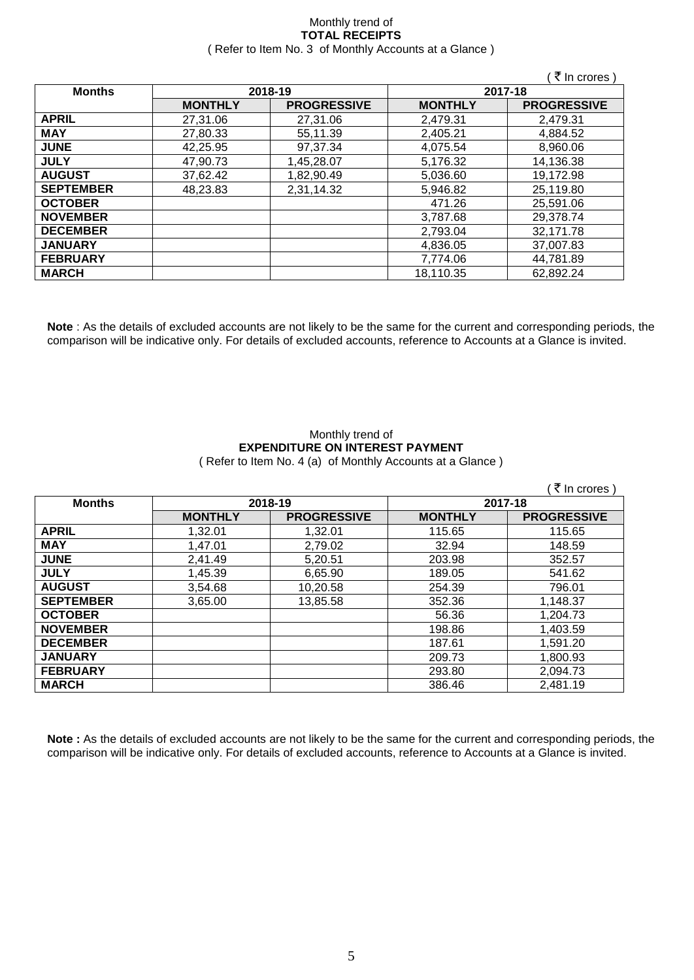### Monthly trend of **TOTAL RECEIPTS** ( Refer to Item No. 3 of Monthly Accounts at a Glance )

|                  |                |                    |                | ∶ ₹ In crores )    |
|------------------|----------------|--------------------|----------------|--------------------|
| <b>Months</b>    | 2018-19        |                    | 2017-18        |                    |
|                  | <b>MONTHLY</b> | <b>PROGRESSIVE</b> | <b>MONTHLY</b> | <b>PROGRESSIVE</b> |
| <b>APRIL</b>     | 27,31.06       | 27,31.06           | 2,479.31       | 2,479.31           |
| <b>MAY</b>       | 27,80.33       | 55,11.39           | 2,405.21       | 4,884.52           |
| <b>JUNE</b>      | 42,25.95       | 97,37.34           | 4,075.54       | 8,960.06           |
| <b>JULY</b>      | 47,90.73       | 1,45,28.07         | 5,176.32       | 14,136.38          |
| <b>AUGUST</b>    | 37,62.42       | 1,82,90.49         | 5,036.60       | 19,172.98          |
| <b>SEPTEMBER</b> | 48,23.83       | 2,31,14.32         | 5,946.82       | 25,119.80          |
| <b>OCTOBER</b>   |                |                    | 471.26         | 25,591.06          |
| <b>NOVEMBER</b>  |                |                    | 3,787.68       | 29,378.74          |
| <b>DECEMBER</b>  |                |                    | 2,793.04       | 32,171.78          |
| <b>JANUARY</b>   |                |                    | 4,836.05       | 37,007.83          |
| <b>FEBRUARY</b>  |                |                    | 7,774.06       | 44,781.89          |
| <b>MARCH</b>     |                |                    | 18,110.35      | 62,892.24          |

**Note** : As the details of excluded accounts are not likely to be the same for the current and corresponding periods, the comparison will be indicative only. For details of excluded accounts, reference to Accounts at a Glance is invited.

## Monthly trend of **EXPENDITURE ON INTEREST PAYMENT**

( Refer to Item No. 4 (a) of Monthly Accounts at a Glance )

|                  |                |                    |                | (₹ In crores)      |
|------------------|----------------|--------------------|----------------|--------------------|
| <b>Months</b>    | 2018-19        |                    | 2017-18        |                    |
|                  | <b>MONTHLY</b> | <b>PROGRESSIVE</b> | <b>MONTHLY</b> | <b>PROGRESSIVE</b> |
| <b>APRIL</b>     | 1,32.01        | 1,32.01            | 115.65         | 115.65             |
| <b>MAY</b>       | 1,47.01        | 2,79.02            | 32.94          | 148.59             |
| <b>JUNE</b>      | 2,41.49        | 5,20.51            | 203.98         | 352.57             |
| <b>JULY</b>      | 1,45.39        | 6,65.90            | 189.05         | 541.62             |
| <b>AUGUST</b>    | 3,54.68        | 10,20.58           | 254.39         | 796.01             |
| <b>SEPTEMBER</b> | 3,65.00        | 13,85.58           | 352.36         | 1,148.37           |
| <b>OCTOBER</b>   |                |                    | 56.36          | 1,204.73           |
| <b>NOVEMBER</b>  |                |                    | 198.86         | 1,403.59           |
| <b>DECEMBER</b>  |                |                    | 187.61         | 1.591.20           |
| <b>JANUARY</b>   |                |                    | 209.73         | 1,800.93           |
| <b>FEBRUARY</b>  |                |                    | 293.80         | 2,094.73           |
| <b>MARCH</b>     |                |                    | 386.46         | 2,481.19           |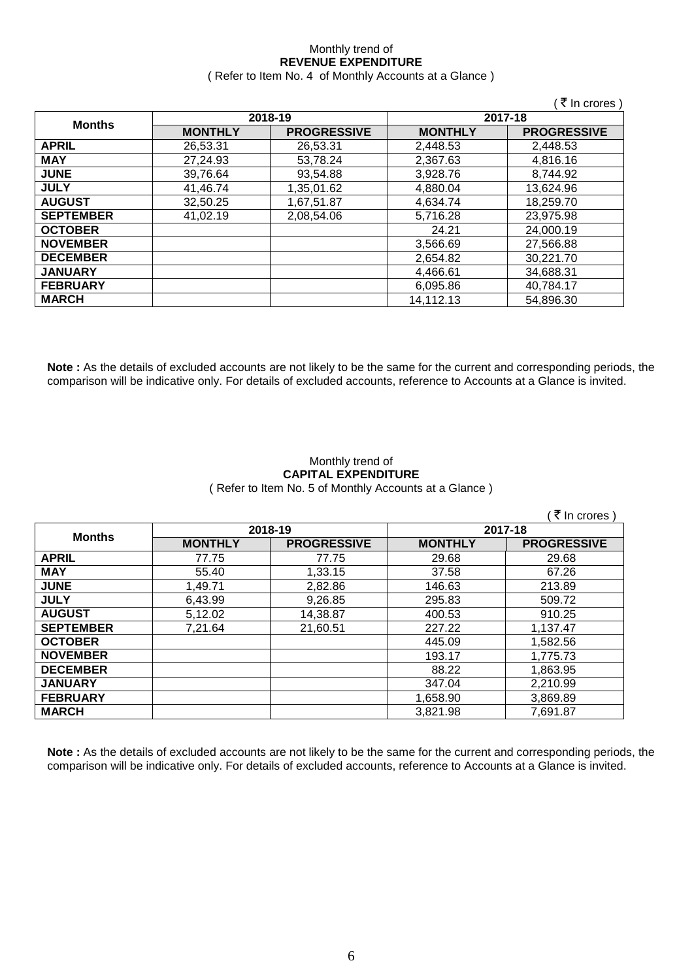### Monthly trend of **REVENUE EXPENDITURE** ( Refer to Item No. 4 of Monthly Accounts at a Glance )

|                  |                |                    |                | (₹ In crores)      |
|------------------|----------------|--------------------|----------------|--------------------|
| <b>Months</b>    |                | 2018-19            | 2017-18        |                    |
|                  | <b>MONTHLY</b> | <b>PROGRESSIVE</b> | <b>MONTHLY</b> | <b>PROGRESSIVE</b> |
| <b>APRIL</b>     | 26,53.31       | 26,53.31           | 2,448.53       | 2,448.53           |
| <b>MAY</b>       | 27,24.93       | 53,78.24           | 2,367.63       | 4,816.16           |
| <b>JUNE</b>      | 39,76.64       | 93,54.88           | 3,928.76       | 8,744.92           |
| <b>JULY</b>      | 41,46.74       | 1,35,01.62         | 4,880.04       | 13,624.96          |
| <b>AUGUST</b>    | 32,50.25       | 1,67,51.87         | 4.634.74       | 18,259.70          |
| <b>SEPTEMBER</b> | 41,02.19       | 2,08,54.06         | 5,716.28       | 23,975.98          |
| <b>OCTOBER</b>   |                |                    | 24.21          | 24,000.19          |
| <b>NOVEMBER</b>  |                |                    | 3,566.69       | 27,566.88          |
| <b>DECEMBER</b>  |                |                    | 2,654.82       | 30,221.70          |
| <b>JANUARY</b>   |                |                    | 4,466.61       | 34,688.31          |
| <b>FEBRUARY</b>  |                |                    | 6,095.86       | 40,784.17          |
| <b>MARCH</b>     |                |                    | 14,112.13      | 54,896.30          |

**Note :** As the details of excluded accounts are not likely to be the same for the current and corresponding periods, the comparison will be indicative only. For details of excluded accounts, reference to Accounts at a Glance is invited.

### Monthly trend of **CAPITAL EXPENDITURE**  ( Refer to Item No. 5 of Monthly Accounts at a Glance )

|                  |                |                    |                | ਂ ₹ In crores `    |
|------------------|----------------|--------------------|----------------|--------------------|
|                  | 2018-19        |                    | 2017-18        |                    |
| <b>Months</b>    | <b>MONTHLY</b> | <b>PROGRESSIVE</b> | <b>MONTHLY</b> | <b>PROGRESSIVE</b> |
| <b>APRIL</b>     | 77.75          | 77.75              | 29.68          | 29.68              |
| <b>MAY</b>       | 55.40          | 1,33.15            | 37.58          | 67.26              |
| <b>JUNE</b>      | 1,49.71        | 2,82.86            | 146.63         | 213.89             |
| <b>JULY</b>      | 6,43.99        | 9,26.85            | 295.83         | 509.72             |
| <b>AUGUST</b>    | 5,12.02        | 14,38.87           | 400.53         | 910.25             |
| <b>SEPTEMBER</b> | 7,21.64        | 21,60.51           | 227.22         | 1,137.47           |
| <b>OCTOBER</b>   |                |                    | 445.09         | 1,582.56           |
| <b>NOVEMBER</b>  |                |                    | 193.17         | 1,775.73           |
| <b>DECEMBER</b>  |                |                    | 88.22          | 1,863.95           |
| <b>JANUARY</b>   |                |                    | 347.04         | 2,210.99           |
| <b>FEBRUARY</b>  |                |                    | 1,658.90       | 3,869.89           |
| <b>MARCH</b>     |                |                    | 3,821.98       | 7,691.87           |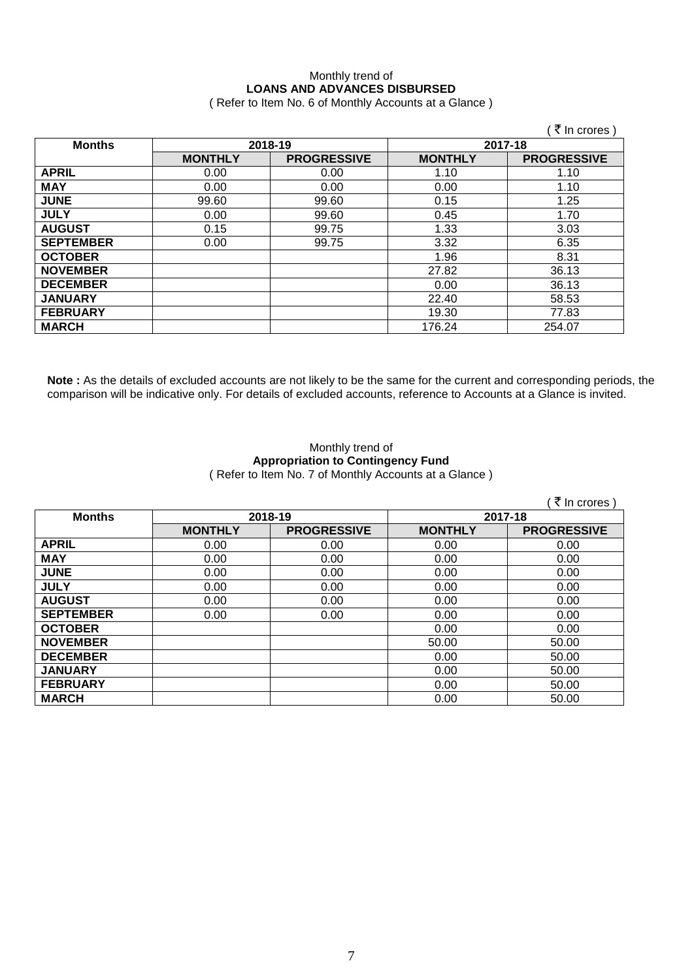### Monthly trend of **LOANS AND ADVANCES DISBURSED** ( Refer to Item No. 6 of Monthly Accounts at a Glance )

|                  |                |                    |                | (₹ In crores)      |
|------------------|----------------|--------------------|----------------|--------------------|
| <b>Months</b>    | 2018-19        |                    | 2017-18        |                    |
|                  | <b>MONTHLY</b> | <b>PROGRESSIVE</b> | <b>MONTHLY</b> | <b>PROGRESSIVE</b> |
| <b>APRIL</b>     | 0.00           | 0.00               | 1.10           | 1.10               |
| <b>MAY</b>       | 0.00           | 0.00               | 0.00           | 1.10               |
| <b>JUNE</b>      | 99.60          | 99.60              | 0.15           | 1.25               |
| <b>JULY</b>      | 0.00           | 99.60              | 0.45           | 1.70               |
| <b>AUGUST</b>    | 0.15           | 99.75              | 1.33           | 3.03               |
| <b>SEPTEMBER</b> | 0.00           | 99.75              | 3.32           | 6.35               |
| <b>OCTOBER</b>   |                |                    | 1.96           | 8.31               |
| <b>NOVEMBER</b>  |                |                    | 27.82          | 36.13              |
| <b>DECEMBER</b>  |                |                    | 0.00           | 36.13              |
| <b>JANUARY</b>   |                |                    | 22.40          | 58.53              |
| <b>FEBRUARY</b>  |                |                    | 19.30          | 77.83              |
| <b>MARCH</b>     |                |                    | 176.24         | 254.07             |

**Note :** As the details of excluded accounts are not likely to be the same for the current and corresponding periods, the comparison will be indicative only. For details of excluded accounts, reference to Accounts at a Glance is invited.

### Monthly trend of **Appropriation to Contingency Fund** ( Refer to Item No. 7 of Monthly Accounts at a Glance )

|                  |                |                    |                | (₹ In crores)      |
|------------------|----------------|--------------------|----------------|--------------------|
| <b>Months</b>    | 2018-19        |                    | 2017-18        |                    |
|                  | <b>MONTHLY</b> | <b>PROGRESSIVE</b> | <b>MONTHLY</b> | <b>PROGRESSIVE</b> |
| <b>APRIL</b>     | 0.00           | 0.00               | 0.00           | 0.00               |
| <b>MAY</b>       | 0.00           | 0.00               | 0.00           | 0.00               |
| <b>JUNE</b>      | 0.00           | 0.00               | 0.00           | 0.00               |
| <b>JULY</b>      | 0.00           | 0.00               | 0.00           | 0.00               |
| <b>AUGUST</b>    | 0.00           | 0.00               | 0.00           | 0.00               |
| <b>SEPTEMBER</b> | 0.00           | 0.00               | 0.00           | 0.00               |
| <b>OCTOBER</b>   |                |                    | 0.00           | 0.00               |
| <b>NOVEMBER</b>  |                |                    | 50.00          | 50.00              |
| <b>DECEMBER</b>  |                |                    | 0.00           | 50.00              |
| <b>JANUARY</b>   |                |                    | 0.00           | 50.00              |
| <b>FEBRUARY</b>  |                |                    | 0.00           | 50.00              |
| <b>MARCH</b>     |                |                    | 0.00           | 50.00              |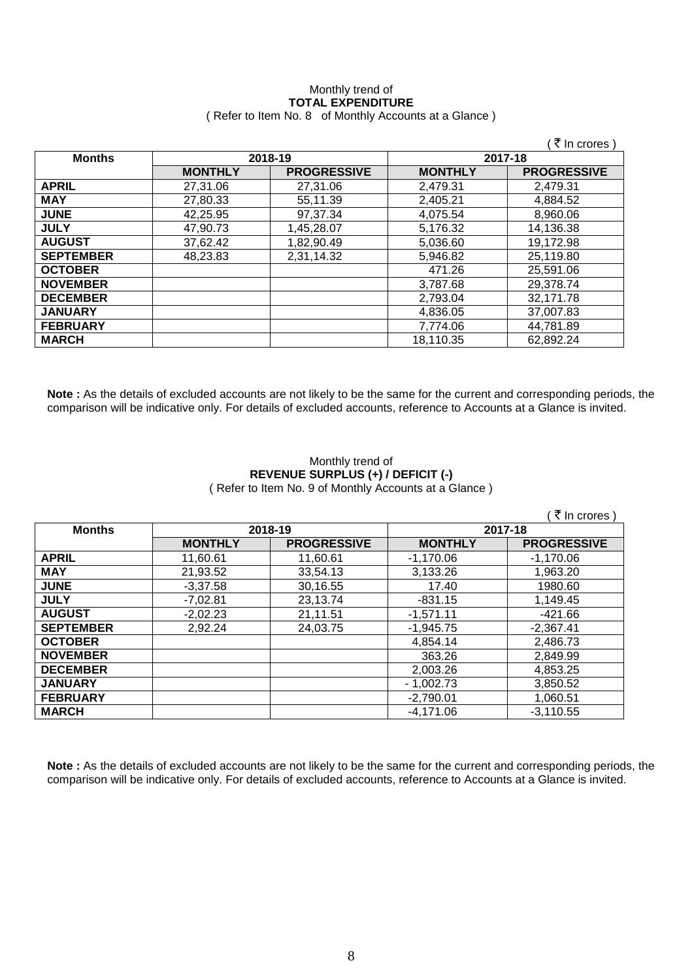## Monthly trend of **TOTAL EXPENDITURE**

|                  |                |                    |                | ़₹ In crores )     |
|------------------|----------------|--------------------|----------------|--------------------|
| <b>Months</b>    | 2018-19        |                    | 2017-18        |                    |
|                  | <b>MONTHLY</b> | <b>PROGRESSIVE</b> | <b>MONTHLY</b> | <b>PROGRESSIVE</b> |
| <b>APRIL</b>     | 27,31.06       | 27,31.06           | 2,479.31       | 2,479.31           |
| <b>MAY</b>       | 27,80.33       | 55,11.39           | 2,405.21       | 4,884.52           |
| <b>JUNE</b>      | 42,25.95       | 97,37.34           | 4,075.54       | 8,960.06           |
| <b>JULY</b>      | 47,90.73       | 1,45,28.07         | 5,176.32       | 14,136.38          |
| <b>AUGUST</b>    | 37,62.42       | 1,82,90.49         | 5,036.60       | 19,172.98          |
| <b>SEPTEMBER</b> | 48,23.83       | 2,31,14.32         | 5,946.82       | 25,119.80          |
| <b>OCTOBER</b>   |                |                    | 471.26         | 25,591.06          |
| <b>NOVEMBER</b>  |                |                    | 3,787.68       | 29,378.74          |
| <b>DECEMBER</b>  |                |                    | 2,793.04       | 32,171.78          |
| <b>JANUARY</b>   |                |                    | 4,836.05       | 37,007.83          |
| <b>FEBRUARY</b>  |                |                    | 7,774.06       | 44,781.89          |
| <b>MARCH</b>     |                |                    | 18,110.35      | 62,892.24          |

### ( Refer to Item No. 8 of Monthly Accounts at a Glance )

**Note :** As the details of excluded accounts are not likely to be the same for the current and corresponding periods, the comparison will be indicative only. For details of excluded accounts, reference to Accounts at a Glance is invited.

### Monthly trend of **REVENUE SURPLUS (+) / DEFICIT (-)** ( Refer to Item No. 9 of Monthly Accounts at a Glance )

|                  |                |                    |                | ₹ In crores)       |
|------------------|----------------|--------------------|----------------|--------------------|
| <b>Months</b>    | 2018-19        |                    | 2017-18        |                    |
|                  | <b>MONTHLY</b> | <b>PROGRESSIVE</b> | <b>MONTHLY</b> | <b>PROGRESSIVE</b> |
| <b>APRIL</b>     | 11,60.61       | 11,60.61           | $-1.170.06$    | $-1,170.06$        |
| <b>MAY</b>       | 21,93.52       | 33,54.13           | 3,133.26       | 1,963.20           |
| <b>JUNE</b>      | $-3,37.58$     | 30,16.55           | 17.40          | 1980.60            |
| <b>JULY</b>      | $-7,02.81$     | 23,13.74           | $-831.15$      | 1,149.45           |
| <b>AUGUST</b>    | $-2,02.23$     | 21,11.51           | $-1,571.11$    | $-421.66$          |
| <b>SEPTEMBER</b> | 2,92.24        | 24,03.75           | $-1,945.75$    | $-2,367.41$        |
| <b>OCTOBER</b>   |                |                    | 4.854.14       | 2,486.73           |
| <b>NOVEMBER</b>  |                |                    | 363.26         | 2,849.99           |
| <b>DECEMBER</b>  |                |                    | 2,003.26       | 4,853.25           |
| <b>JANUARY</b>   |                |                    | $-1,002.73$    | 3,850.52           |
| <b>FEBRUARY</b>  |                |                    | $-2,790.01$    | 1,060.51           |
| <b>MARCH</b>     |                |                    | $-4,171.06$    | $-3,110.55$        |